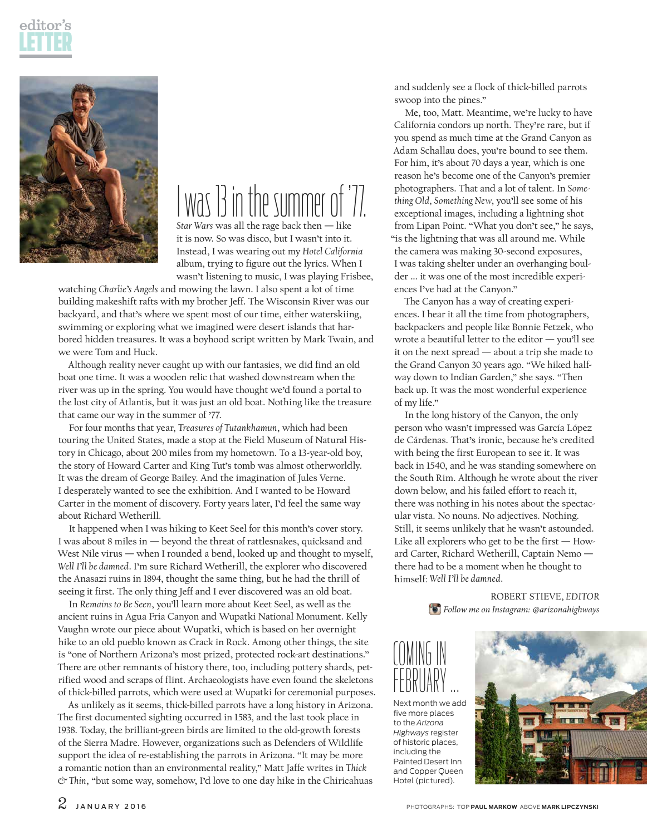



## was 13 in the summer of '77.

*Star Wars* was all the rage back then — like it is now. So was disco, but I wasn't into it. Instead, I was wearing out my *Hotel California* album, trying to figure out the lyrics. When I wasn't listening to music, I was playing Frisbee,

watching *Charlie's Angels* and mowing the lawn. I also spent a lot of time building makeshift rafts with my brother Jeff. The Wisconsin River was our backyard, and that's where we spent most of our time, either waterskiing, swimming or exploring what we imagined were desert islands that harbored hidden treasures. It was a boyhood script written by Mark Twain, and we were Tom and Huck.

Although reality never caught up with our fantasies, we did find an old boat one time. It was a wooden relic that washed downstream when the river was up in the spring. You would have thought we'd found a portal to the lost city of Atlantis, but it was just an old boat. Nothing like the treasure that came our way in the summer of '77.

For four months that year, *Treasures of Tutankhamun*, which had been touring the United States, made a stop at the Field Museum of Natural History in Chicago, about 200 miles from my hometown. To a 13-year-old boy, the story of Howard Carter and King Tut's tomb was almost otherworldly. It was the dream of George Bailey. And the imagination of Jules Verne. I desperately wanted to see the exhibition. And I wanted to be Howard Carter in the moment of discovery. Forty years later, I'd feel the same way about Richard Wetherill.

It happened when I was hiking to Keet Seel for this month's cover story. I was about 8 miles in — beyond the threat of rattlesnakes, quicksand and West Nile virus — when I rounded a bend, looked up and thought to myself, *Well I'll be damned*. I'm sure Richard Wetherill, the explorer who discovered the Anasazi ruins in 1894, thought the same thing, but he had the thrill of seeing it first. The only thing Jeff and I ever discovered was an old boat.

In *Remains to Be Seen*, you'll learn more about Keet Seel, as well as the ancient ruins in Agua Fria Canyon and Wupatki National Monument. Kelly Vaughn wrote our piece about Wupatki, which is based on her overnight hike to an old pueblo known as Crack in Rock. Among other things, the site is "one of Northern Arizona's most prized, protected rock-art destinations." There are other remnants of history there, too, including pottery shards, petrified wood and scraps of flint. Archaeologists have even found the skeletons of thick-billed parrots, which were used at Wupatki for ceremonial purposes.

As unlikely as it seems, thick-billed parrots have a long history in Arizona. The first documented sighting occurred in 1583, and the last took place in 1938. Today, the brilliant-green birds are limited to the old-growth forests of the Sierra Madre. However, organizations such as Defenders of Wildlife support the idea of re-establishing the parrots in Arizona. "It may be more a romantic notion than an environmental reality," Matt Jaffe writes in *Thick & Thin*, "but some way, somehow, I'd love to one day hike in the Chiricahuas

and suddenly see a flock of thick-billed parrots swoop into the pines."

Me, too, Matt. Meantime, we're lucky to have California condors up north. They're rare, but if you spend as much time at the Grand Canyon as Adam Schallau does, you're bound to see them. For him, it's about 70 days a year, which is one reason he's become one of the Canyon's premier photographers. That and a lot of talent. In *Something Old, Something New*, you'll see some of his exceptional images, including a lightning shot from Lipan Point. "What you don't see," he says, "is the lightning that was all around me. While the camera was making 30-second exposures, I was taking shelter under an overhanging boulder ... it was one of the most incredible experiences I've had at the Canyon."

The Canyon has a way of creating experiences. I hear it all the time from photographers, backpackers and people like Bonnie Fetzek, who wrote a beautiful letter to the editor — you'll see it on the next spread — about a trip she made to the Grand Canyon 30 years ago. "We hiked halfway down to Indian Garden," she says. "Then back up. It was the most wonderful experience of my life."

In the long history of the Canyon, the only person who wasn't impressed was García López de Cárdenas. That's ironic, because he's credited with being the first European to see it. It was back in 1540, and he was standing somewhere on the South Rim. Although he wrote about the river down below, and his failed effort to reach it, there was nothing in his notes about the spectacular vista. No nouns. No adjectives. Nothing. Still, it seems unlikely that he wasn't astounded. Like all explorers who get to be the first — Howard Carter, Richard Wetherill, Captain Nemo there had to be a moment when he thought to himself: *Well I'll be damned*.

> ROBERT STIEVE, *EDITOR Follow me on Instagram: @arizonahighways*



Next month we add five more places to the *Arizona Highways* register of historic places, including the Painted Desert Inn and Copper Queen Hotel (pictured).

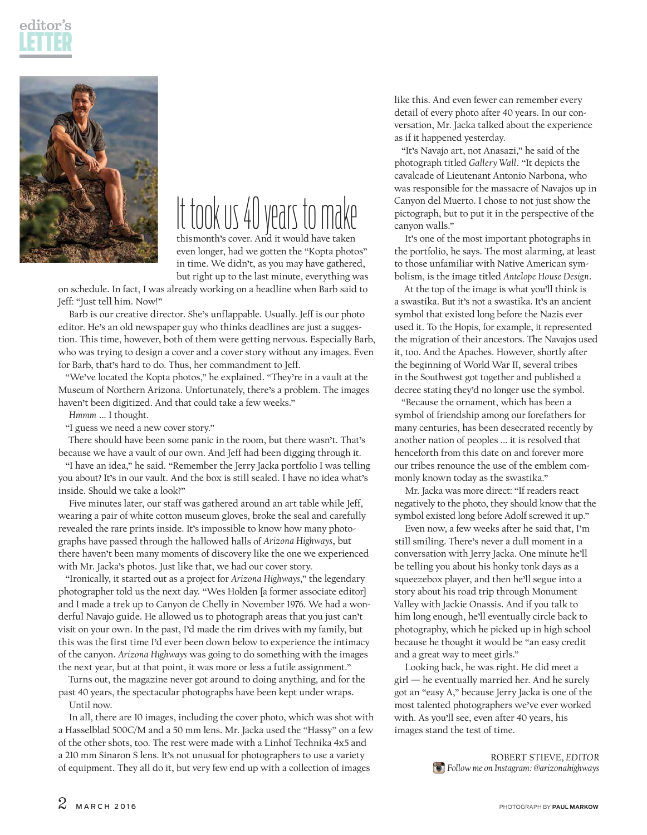



## It took us 40 years to make

thismonth's cover. And it would have taken even longer, had we gotten the "Kopta photos" in time. We didn't, as you may have gathered, but right up to the last minute, everything was

on schedule. In fact, I was already working on a headline when Barb said to Jeff: "Just tell him. Now!"

Barb is our creative director. She's unflappable. Usually. Jeff is our photo editor. He's an old newspaper guy who thinks deadlines are just a suggestion. This time, however, both of them were getting nervous. Especially Barb, who was trying to design a cover and a cover story without any images. Even for Barb, that's hard to do. Thus, her commandment to Jeff.

"We've located the Kopta photos," he explained. "They're in a vault at the Museum of Northern Arizona. Unfortunately, there's a problem. The images haven't been digitized. And that could take a few weeks."

*Hmmm* ... I thought.

"I guess we need a new cover story."

There should have been some panic in the room, but there wasn't. That's because we have a vault of our own. And Jeff had been digging through it.

"I have an idea," he said. "Remember the Jerry Jacka portfolio I was telling you about? It's in our vault. And the box is still sealed. I have no idea what's inside. Should we take a look?"

Five minutes later, our staff was gathered around an art table while Jeff, wearing a pair of white cotton museum gloves, broke the seal and carefully revealed the rare prints inside. It's impossible to know how many photographs have passed through the hallowed halls of *Arizona Highways*, but there haven't been many moments of discovery like the one we experienced with Mr. Jacka's photos. Just like that, we had our cover story.

"Ironically, it started out as a project for *Arizona Highways*," the legendary photographer told us the next day. "Wes Holden [a former associate editor] and I made a trek up to Canyon de Chelly in November 1976. We had a wonderful Navajo guide. He allowed us to photograph areas that you just can't visit on your own. In the past, I'd made the rim drives with my family, but this was the first time I'd ever been down below to experience the intimacy of the canyon. *Arizona Highways* was going to do something with the images the next year, but at that point, it was more or less a futile assignment."

Turns out, the magazine never got around to doing anything, and for the past 40 years, the spectacular photographs have been kept under wraps. Until now.

In all, there are 10 images, including the cover photo, which was shot with a Hasselblad 500C/M and a 50 mm lens. Mr. Jacka used the "Hassy" on a few of the other shots, too. The rest were made with a Linhof Technika 4x5 and a 210 mm Sinaron S lens. It's not unusual for photographers to use a variety of equipment. They all do it, but very few end up with a collection of images

like this. And even fewer can remember every detail of every photo after 40 years. In our conversation, Mr. Jacka talked about the experience as if it happened yesterday.

"It's Navajo art, not Anasazi," he said of the photograph titled *Gallery Wall*. "It depicts the cavalcade of Lieutenant Antonio Narbona, who was responsible for the massacre of Navajos up in Canyon del Muerto. I chose to not just show the pictograph, but to put it in the perspective of the canyon walls."

It's one of the most important photographs in the portfolio, he says. The most alarming, at least to those unfamiliar with Native American symbolism, is the image titled *Antelope House Design*.

At the top of the image is what you'll think is a swastika. But it's not a swastika. It's an ancient symbol that existed long before the Nazis ever used it. To the Hopis, for example, it represented the migration of their ancestors. The Navajos used it, too. And the Apaches. However, shortly after the beginning of World War II, several tribes in the Southwest got together and published a decree stating they'd no longer use the symbol.

"Because the ornament, which has been a symbol of friendship among our forefathers for many centuries, has been desecrated recently by another nation of peoples ... it is resolved that henceforth from this date on and forever more our tribes renounce the use of the emblem commonly known today as the swastika."

Mr. Jacka was more direct: "If readers react negatively to the photo, they should know that the symbol existed long before Adolf screwed it up."

Even now, a few weeks after he said that, I'm still smiling. There's never a dull moment in a conversation with Jerry Jacka. One minute he'll be telling you about his honky tonk days as a squeezebox player, and then he'll segue into a story about his road trip through Monument Valley with Jackie Onassis. And if you talk to him long enough, he'll eventually circle back to photography, which he picked up in high school because he thought it would be "an easy credit and a great way to meet girls."

Looking back, he was right. He did meet a girl — he eventually married her. And he surely got an "easy A," because Jerry Jacka is one of the most talented photographers we've ever worked with. As you'll see, even after 40 years, his images stand the test of time.

> ROBERT STIEVE, *EDITOR Follow me on Instagram: @arizonahighways*